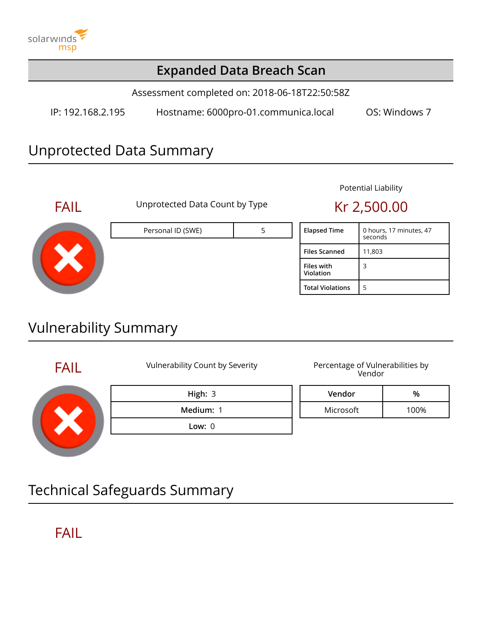

### **Expanded Data Breach Scan**

Assessment completed on: 2018-06-18T22:50:58Z

IP: 192.168.2.195 Hostname: 6000pro-01.communica.local OS: Windows 7

## Unprotected Data Summary



FAIL Unprotected Data Count by Type Kr 2,500.00

# Personal ID (SWE) **Fig. 17** S

#### Potential Liability

| <b>Elapsed Time</b>            | 0 hours, 17 minutes, 47<br>seconds |
|--------------------------------|------------------------------------|
| <b>Files Scanned</b>           | 11,803                             |
| <b>Files with</b><br>Violation | 3                                  |
| <b>Total Violations</b>        | 5                                  |

# Vulnerability Summary

FAIL Vulnerability Count by Severity Percentage of Vulnerabilities by Vendor



**High:** 3 **Medium:** 1

**Low:** 0

**Vendor %**

Microsoft 100%

Technical Safeguards Summary

# FAIL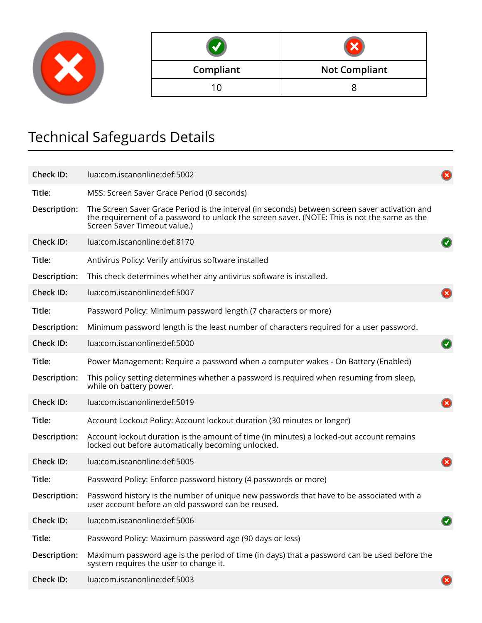

| Compliant | <b>Not Compliant</b> |  |
|-----------|----------------------|--|
| 1 Ր       |                      |  |

# Technical Safeguards Details

| <b>Check ID:</b> | lua:com.iscanonline:def:5002                                                                                                                                                                                                   |  |
|------------------|--------------------------------------------------------------------------------------------------------------------------------------------------------------------------------------------------------------------------------|--|
| Title:           | MSS: Screen Saver Grace Period (0 seconds)                                                                                                                                                                                     |  |
| Description:     | The Screen Saver Grace Period is the interval (in seconds) between screen saver activation and<br>the requirement of a password to unlock the screen saver. (NOTE: This is not the same as the<br>Screen Saver Timeout value.) |  |
| <b>Check ID:</b> | lua:com.iscanonline:def:8170                                                                                                                                                                                                   |  |
| Title:           | Antivirus Policy: Verify antivirus software installed                                                                                                                                                                          |  |
| Description:     | This check determines whether any antivirus software is installed.                                                                                                                                                             |  |
| <b>Check ID:</b> | lua:com.iscanonline:def:5007                                                                                                                                                                                                   |  |
| Title:           | Password Policy: Minimum password length (7 characters or more)                                                                                                                                                                |  |
| Description:     | Minimum password length is the least number of characters required for a user password.                                                                                                                                        |  |
| Check ID:        | lua:com.iscanonline:def:5000                                                                                                                                                                                                   |  |
| Title:           | Power Management: Require a password when a computer wakes - On Battery (Enabled)                                                                                                                                              |  |
| Description:     | This policy setting determines whether a password is required when resuming from sleep,<br>while on battery power.                                                                                                             |  |
| <b>Check ID:</b> | lua:com.iscanonline:def:5019                                                                                                                                                                                                   |  |
| Title:           | Account Lockout Policy: Account lockout duration (30 minutes or longer)                                                                                                                                                        |  |
| Description:     | Account lockout duration is the amount of time (in minutes) a locked-out account remains<br>locked out before automatically becoming unlocked.                                                                                 |  |
| <b>Check ID:</b> | lua:com.iscanonline:def:5005                                                                                                                                                                                                   |  |
| Title:           | Password Policy: Enforce password history (4 passwords or more)                                                                                                                                                                |  |
| Description:     | Password history is the number of unique new passwords that have to be associated with a<br>user account before an old password can be reused.                                                                                 |  |
| <b>Check ID:</b> | lua:com.iscanonline:def:5006                                                                                                                                                                                                   |  |
| Title:           | Password Policy: Maximum password age (90 days or less)                                                                                                                                                                        |  |
| Description:     | Maximum password age is the period of time (in days) that a password can be used before the<br>system requires the user to change it.                                                                                          |  |
| Check ID:        | lua:com.iscanonline:def:5003                                                                                                                                                                                                   |  |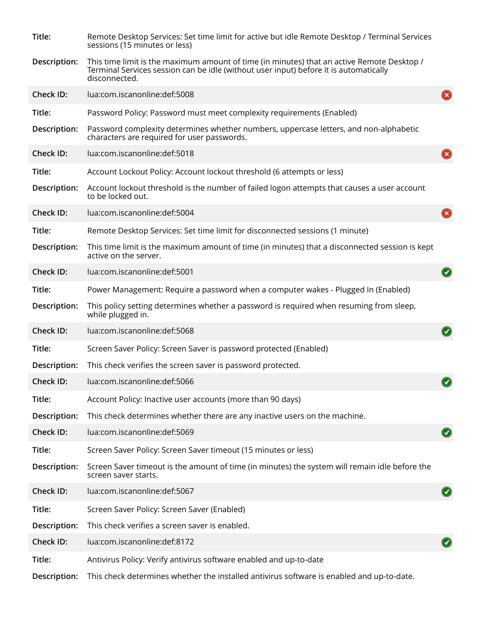| Title:           | Remote Desktop Services: Set time limit for active but idle Remote Desktop / Terminal Services<br>sessions (15 minutes or less)                                                                      |              |
|------------------|------------------------------------------------------------------------------------------------------------------------------------------------------------------------------------------------------|--------------|
| Description:     | This time limit is the maximum amount of time (in minutes) that an active Remote Desktop /<br>Terminal Services session can be idle (without user input) before it is automatically<br>disconnected. |              |
| <b>Check ID:</b> | lua:com.iscanonline:def:5008                                                                                                                                                                         |              |
| Title:           | Password Policy: Password must meet complexity requirements (Enabled)                                                                                                                                |              |
| Description:     | Password complexity determines whether numbers, uppercase letters, and non-alphabetic<br>characters are required for user passwords.                                                                 |              |
| <b>Check ID:</b> | lua:com.iscanonline:def:5018                                                                                                                                                                         |              |
| Title:           | Account Lockout Policy: Account lockout threshold (6 attempts or less)                                                                                                                               |              |
| Description:     | Account lockout threshold is the number of failed logon attempts that causes a user account<br>to be locked out.                                                                                     |              |
| <b>Check ID:</b> | lua:com.iscanonline:def:5004                                                                                                                                                                         |              |
| Title:           | Remote Desktop Services: Set time limit for disconnected sessions (1 minute)                                                                                                                         |              |
| Description:     | This time limit is the maximum amount of time (in minutes) that a disconnected session is kept<br>active on the server.                                                                              |              |
| Check ID:        | lua:com.iscanonline:def:5001                                                                                                                                                                         |              |
| Title:           | Power Management: Require a password when a computer wakes - Plugged In (Enabled)                                                                                                                    |              |
| Description:     | This policy setting determines whether a password is required when resuming from sleep,<br>while plugged in.                                                                                         |              |
| <b>Check ID:</b> | lua:com.iscanonline:def:5068                                                                                                                                                                         |              |
| Title:           | Screen Saver Policy: Screen Saver is password protected (Enabled)                                                                                                                                    |              |
| Description:     | This check verifies the screen saver is password protected.                                                                                                                                          |              |
| Check ID:        | lua:com.iscanonline:def:5066                                                                                                                                                                         | $\mathbf{z}$ |
| Title:           | Account Policy: Inactive user accounts (more than 90 days)                                                                                                                                           |              |
| Description:     | This check determines whether there are any inactive users on the machine.                                                                                                                           |              |
| <b>Check ID:</b> | lua:com.iscanonline:def:5069                                                                                                                                                                         |              |
| Title:           | Screen Saver Policy: Screen Saver timeout (15 minutes or less)                                                                                                                                       |              |
| Description:     | Screen Saver timeout is the amount of time (in minutes) the system will remain idle before the<br>screen saver starts.                                                                               |              |
| <b>Check ID:</b> | lua:com.iscanonline:def:5067                                                                                                                                                                         |              |
| Title:           | Screen Saver Policy: Screen Saver (Enabled)                                                                                                                                                          |              |
| Description:     | This check verifies a screen saver is enabled.                                                                                                                                                       |              |
| <b>Check ID:</b> | lua:com.iscanonline:def:8172                                                                                                                                                                         |              |
| Title:           | Antivirus Policy: Verify antivirus software enabled and up-to-date                                                                                                                                   |              |
| Description:     | This check determines whether the installed antivirus software is enabled and up-to-date.                                                                                                            |              |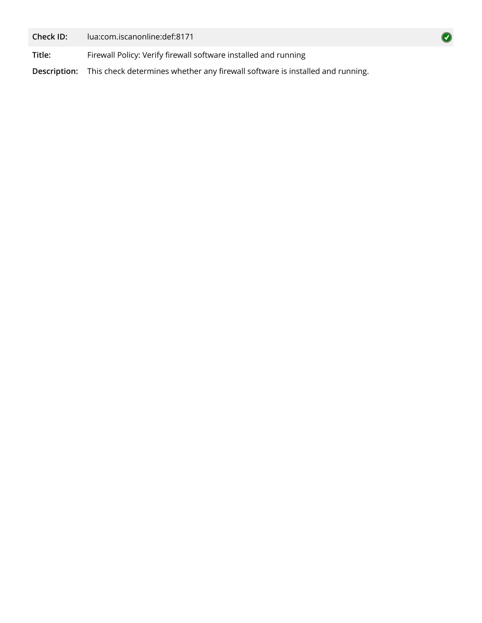**Check ID:** lua:com.iscanonline:def:8171

**Title:** Firewall Policy: Verify firewall software installed and running

**Description:** This check determines whether any firewall software is installed and running.

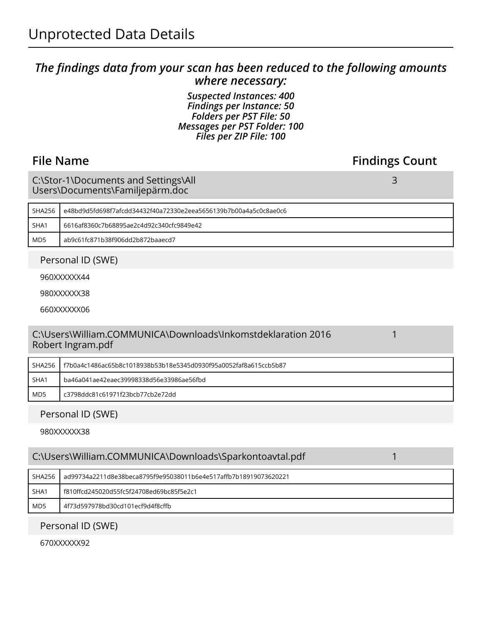#### *The findings data from your scan has been reduced to the following amounts where necessary:*

*Suspected Instances: 400 Findings per Instance: 50 Folders per PST File: 50 Messages per PST Folder: 100 Files per ZIP File: 100*

### **File Name Findings Count**

3

1

C:\Stor-1\Documents and Settings\All Users\Documents\Familjepärm.doc

| SHA256          | 6/e48bd9d5fd698f7afcdd34432f40a72330e2eea5656139b7b00a4a5c0c8ae0c |  |
|-----------------|-------------------------------------------------------------------|--|
| SHA1            | 6616af8360c7b68895ae2c4d92c340cfc9849e42                          |  |
| MD <sub>5</sub> | ab9c61fc871b38f906dd2b872baaecd7                                  |  |

Personal ID (SWE)

960XXXXXX44

980XXXXXX38

660XXXXXX06

#### C:\Users\William.COMMUNICA\Downloads\Inkomstdeklaration 2016 Robert Ingram.pdf

| SHA256 | l f7b0a4c1486ac65b8c1018938b53b18e5345d0930f95a0052faf8a615ccb5b87 |  |
|--------|--------------------------------------------------------------------|--|
| SHA1   | ba46a041ae42eaec39998338d56e33986ae56fbd                           |  |
| MD5    | c3798ddc81c61971f23bcb77cb2e72dd                                   |  |

#### Personal ID (SWE)

980XXXXXX38

| C:\Users\William.COMMUNICA\Downloads\Sparkontoavtal.pdf |                                                                  |  |
|---------------------------------------------------------|------------------------------------------------------------------|--|
| <b>SHA256</b>                                           | ad99734a2211d8e38beca8795f9e95038011b6e4e517affb7b18919073620221 |  |
| SHA1                                                    | f810ffcd245020d55fc5f24708ed69bc85f5e2c1                         |  |
| MD <sub>5</sub><br>4f73d597978bd30cd101ecf9d4f8cffb     |                                                                  |  |

#### Personal ID (SWE)

670XXXXXX92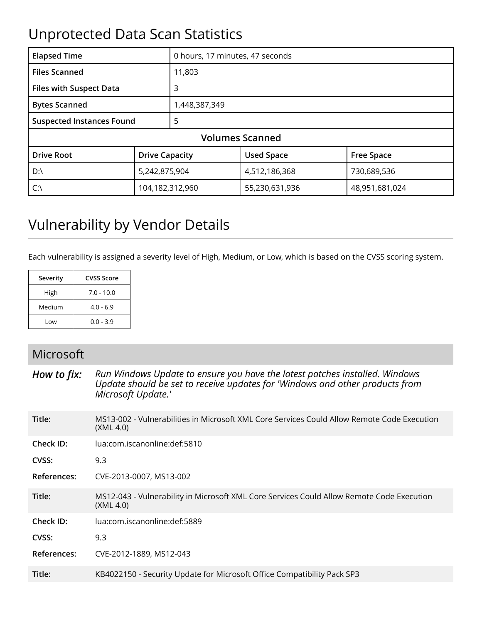# Unprotected Data Scan Statistics

| <b>Elapsed Time</b>                   |                       | 0 hours, 17 minutes, 47 seconds |                   |                   |  |  |
|---------------------------------------|-----------------------|---------------------------------|-------------------|-------------------|--|--|
| <b>Files Scanned</b><br>11,803        |                       |                                 |                   |                   |  |  |
| <b>Files with Suspect Data</b><br>3   |                       |                                 |                   |                   |  |  |
| <b>Bytes Scanned</b>                  |                       | 1,448,387,349                   |                   |                   |  |  |
| <b>Suspected Instances Found</b><br>5 |                       |                                 |                   |                   |  |  |
| <b>Volumes Scanned</b>                |                       |                                 |                   |                   |  |  |
| <b>Drive Root</b>                     | <b>Drive Capacity</b> |                                 | <b>Used Space</b> | <b>Free Space</b> |  |  |
| D:\                                   | 5,242,875,904         |                                 | 4,512,186,368     | 730,689,536       |  |  |
| 104,182,312,960<br>$C:\setminus$      |                       | 55,230,631,936                  | 48,951,681,024    |                   |  |  |

# Vulnerability by Vendor Details

Each vulnerability is assigned a severity level of High, Medium, or Low, which is based on the CVSS scoring system.

| Severity | CVSS Score   |  |
|----------|--------------|--|
| High     | $7.0 - 10.0$ |  |
| Medium   | $4.0 - 6.9$  |  |
| Low      | $0.0 - 3.9$  |  |

#### Microsoft

*How to fix: Run Windows Update to ensure you have the latest patches installed. Windows Update should be set to receive updates for 'Windows and other products from Microsoft Update.'*

| Title:             | MS13-002 - Vulnerabilities in Microsoft XML Core Services Could Allow Remote Code Execution<br>(XML 4.0) |
|--------------------|----------------------------------------------------------------------------------------------------------|
| Check ID:          | lua:com.iscanonline:def:5810                                                                             |
| CVSS:              | 9.3                                                                                                      |
| References:        | CVE-2013-0007, MS13-002                                                                                  |
| Title:             | MS12-043 - Vulnerability in Microsoft XML Core Services Could Allow Remote Code Execution<br>(XML 4.0)   |
| Check ID:          | lua:com.iscanonline:def:5889                                                                             |
| CVSS:              | 9.3                                                                                                      |
| <b>References:</b> | CVE-2012-1889, MS12-043                                                                                  |
| Title:             | KB4022150 - Security Update for Microsoft Office Compatibility Pack SP3                                  |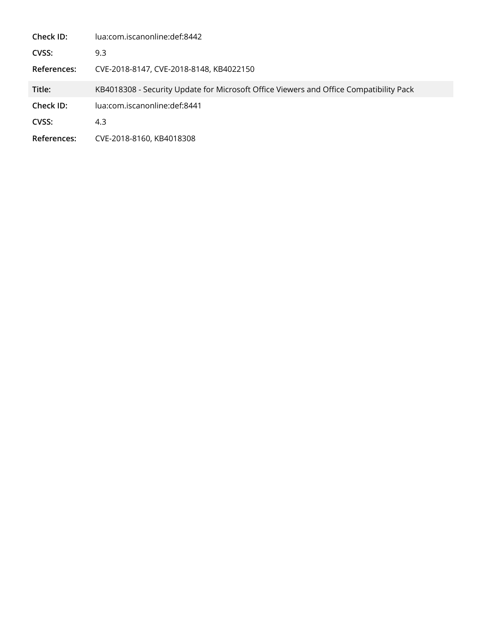| Check ID:   | lua:com.iscanonline:def:8442                                                           |  |  |
|-------------|----------------------------------------------------------------------------------------|--|--|
| CVSS:       | 9.3                                                                                    |  |  |
| References: | CVE-2018-8147, CVE-2018-8148, KB4022150                                                |  |  |
| Title:      | KB4018308 - Security Update for Microsoft Office Viewers and Office Compatibility Pack |  |  |
| Check ID:   | lua:com.iscanonline:def:8441                                                           |  |  |
| CVSS:       | 4.3                                                                                    |  |  |
| References: | CVE-2018-8160, KB4018308                                                               |  |  |